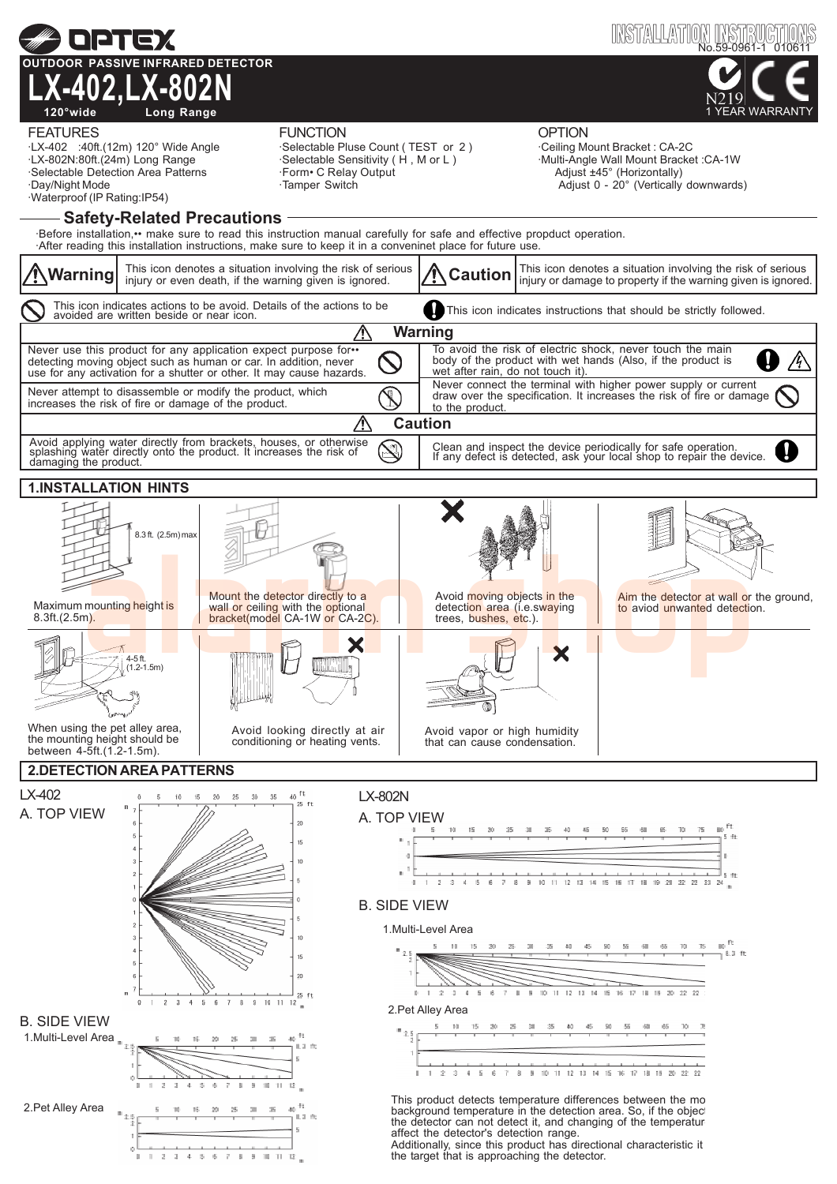

the target that is approaching the detector.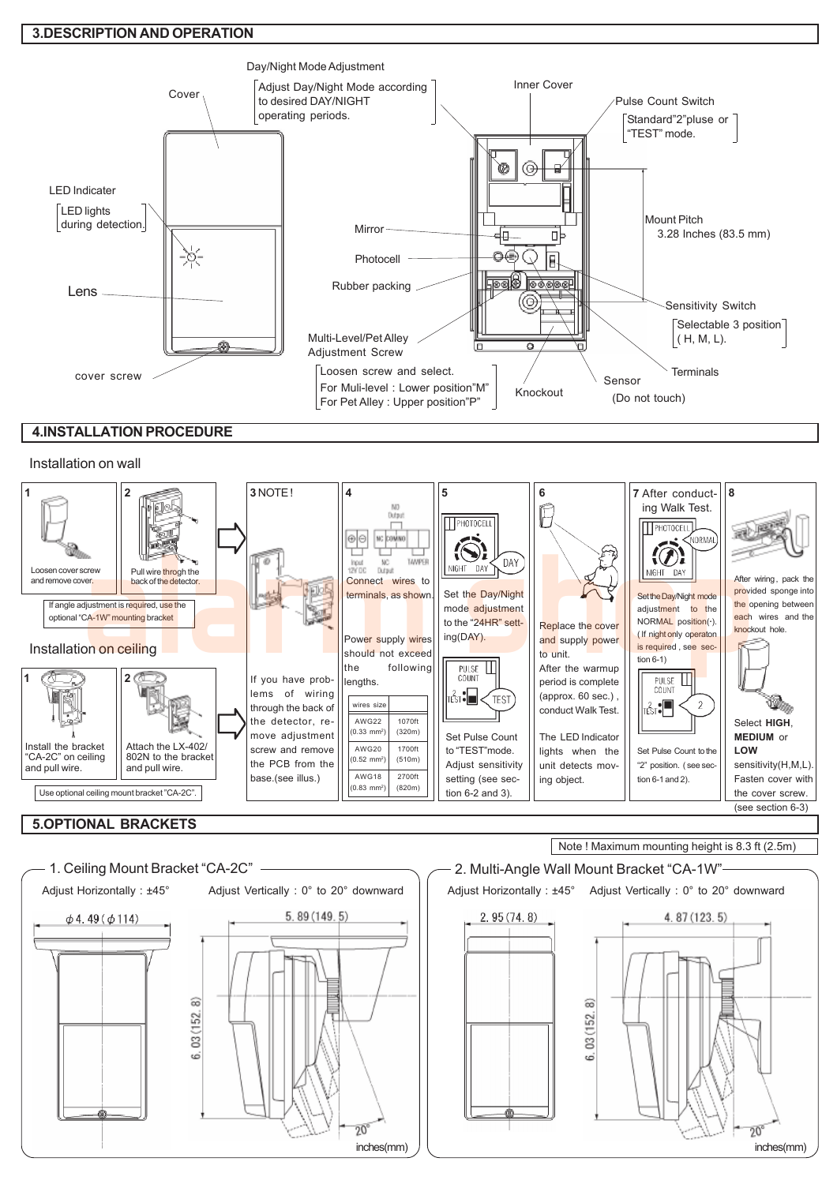### 3.DESCRIPTION AND OPERATION



## 4.INSTALLATION PROCEDURE

#### Installation on wall

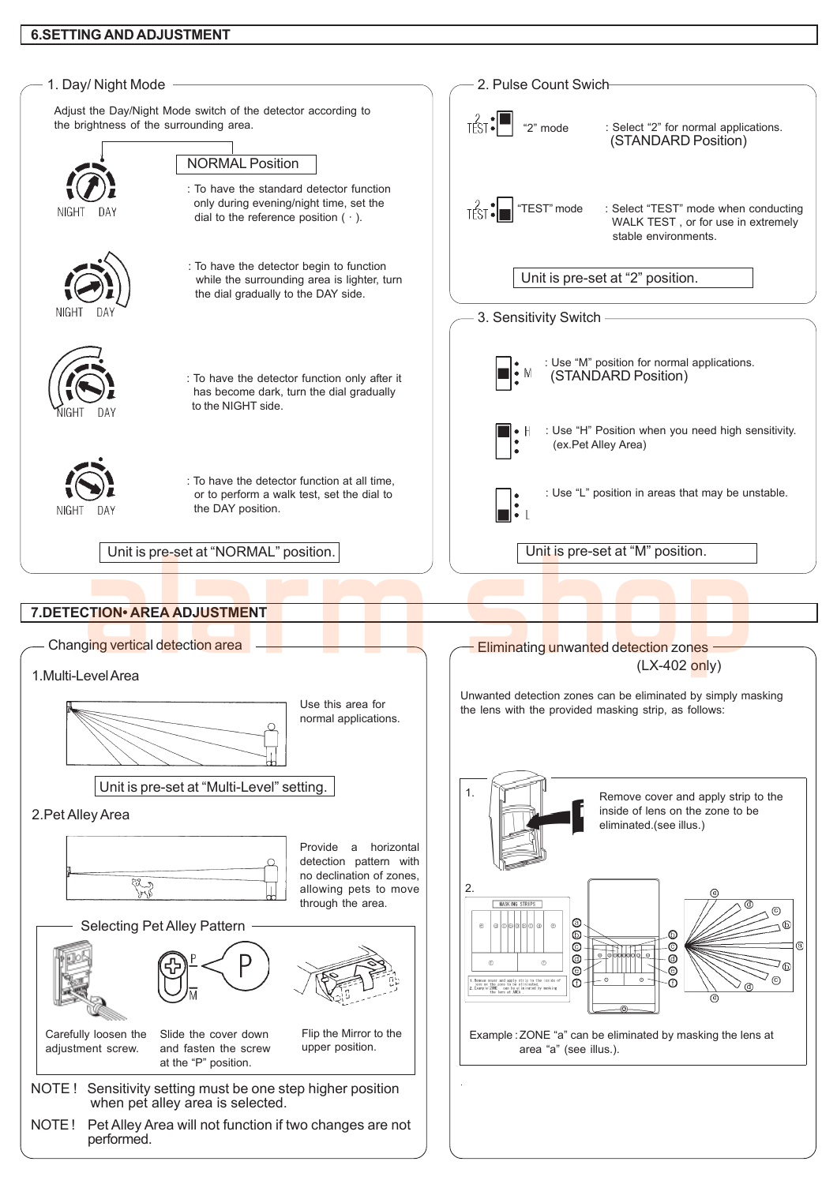## 6.SETTING AND ADJUSTMENT